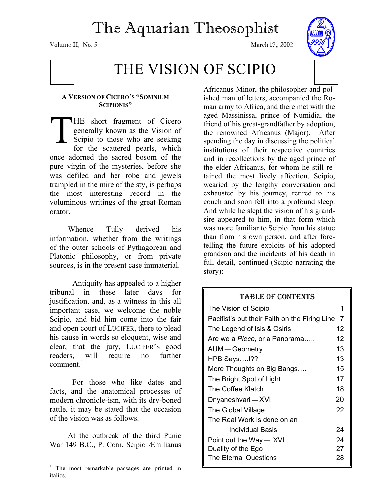# The Aquarian Theosophist

Volume II, No. 5 March 17, 2002



#### **A VERSION OF CICERO'S "SOMNIUM SCIPIONIS"**

HE short fragment of Cicero generally known as the Vision of Scipio to those who are seeking for the scattered pearls, which once adorned the sacred bosom of the pure virgin of the mysteries, before she was defiled and her robe and jewels trampled in the mire of the sty, is perhaps the most interesting record in the voluminous writings of the great Roman orator. THE ger<br>Sci<br>for

 Whence Tully derived his information, whether from the writings of the outer schools of Pythagorean and Platonic philosophy, or from private sources, is in the present case immaterial.

Antiquity has appealed to a higher tribunal in these later days for justification, and, as a witness in this all important case, we welcome the noble Scipio, and bid him come into the fair and open court of LUCIFER, there to plead his cause in words so eloquent, wise and clear, that the jury, LUCIFER'S good readers, will require no further comment.<sup>1</sup>

For those who like dates and facts, and the anatomical processes of modern chronicle-ism, with its dry-boned rattle, it may be stated that the occasion of the vision was as follows.

At the outbreak of the third Punic War 149 B.C., P. Corn. Scipio Æmilianus

Africanus Minor, the philosopher and polished man of letters, accompanied the Roman army to Africa, and there met with the aged Massinissa, prince of Numidia, the friend of his great-grandfather by adoption, the renowned Africanus (Major). After spending the day in discussing the political institutions of their respective countries and in recollections by the aged prince of the elder Africanus, for whom he still retained the most lively affection, Scipio, wearied by the lengthy conversation and exhausted by his journey, retired to his couch and soon fell into a profound sleep. And while he slept the vision of his grandsire appeared to him, in that form which was more familiar to Scipio from his statue than from his own person, and after foretelling the future exploits of his adopted grandson and the incidents of his death in full detail, continued (Scipio narrating the story):

#### TABLE OF CONTENTS

| The Vision of Scipio                                 | 1  |  |  |
|------------------------------------------------------|----|--|--|
| Pacifist's put their Faith on the Firing Line<br>- 7 |    |  |  |
| The Legend of Isis & Osiris                          | 12 |  |  |
| Are we a Piece, or a Panorama                        | 12 |  |  |
| AUM — Geometry                                       | 13 |  |  |
| <b>HPB Says!??</b>                                   | 13 |  |  |
| More Thoughts on Big Bangs                           | 15 |  |  |
| The Bright Spot of Light                             | 17 |  |  |
| The Coffee Klatch                                    | 18 |  |  |
| Dnyaneshvari — XVI                                   | 20 |  |  |
| The Global Village                                   | 22 |  |  |
| The Real Work is done on an                          |    |  |  |
| Individual Basis                                     | 24 |  |  |
| Point out the Way — XVI                              | 24 |  |  |
| Duality of the Ego                                   | 27 |  |  |
| The Eternal Questions                                | 28 |  |  |

<sup>1</sup> The most remarkable passages are printed in italics.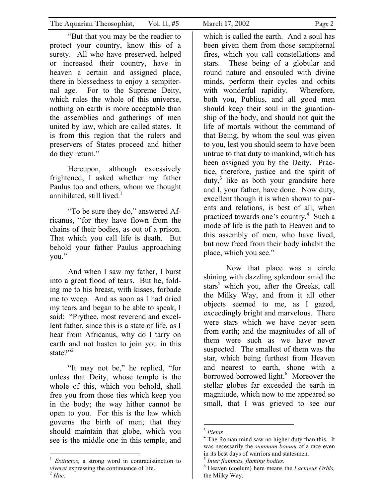"But that you may be the readier to protect your country, know this of a surety. All who have preserved, helped or increased their country, have in heaven a certain and assigned place, there in blessedness to enjoy a sempiternal age. For to the Supreme Deity, which rules the whole of this universe, nothing on earth is more acceptable than the assemblies and gatherings of men united by law, which are called states. It is from this region that the rulers and preservers of States proceed and hither do they return."

Hereupon, although excessively frightened, I asked whether my father Paulus too and others, whom we thought annihilated, still lived.<sup>1</sup>

"To be sure they do," answered Africanus, "for they have flown from the chains of their bodies, as out of a prison. That which you call life is death. But behold your father Paulus approaching you."

And when I saw my father, I burst into a great flood of tears. But he, folding me to his breast, with kisses, forbade me to weep. And as soon as I had dried my tears and began to be able to speak, I said: "Prythee, most reverend and excellent father, since this is a state of life, as I hear from Africanus, why do I tarry on earth and not hasten to join you in this state?"<sup>2</sup>

"It may not be," he replied, "for unless that Deity, whose temple is the whole of this, which you behold, shall free you from those ties which keep you in the body; the way hither cannot be open to you. For this is the law which governs the birth of men; that they should maintain that globe, which you see is the middle one in this temple, and

 $\overline{a}$ <sup>1</sup> *Extinctos*, a strong word in contradistinction to *viveret* expressing the continuance of life. 2 *Hac.* 

which is called the earth. And a soul has been given them from those sempiternal fires, which you call constellations and stars. These being of a globular and round nature and ensouled with divine minds, perform their cycles and orbits with wonderful rapidity. Wherefore, both you, Publius, and all good men should keep their soul in the guardianship of the body, and should not quit the life of mortals without the command of that Being, by whom the soul was given to you, lest you should seem to have been untrue to that duty to mankind, which has been assigned you by the Deity. Practice, therefore, justice and the spirit of duty,<sup>3</sup> like as both your grandsire here and I, your father, have done. Now duty, excellent though it is when shown to parents and relations, is best of all, when practiced towards one's country.<sup>4</sup> Such a mode of life is the path to Heaven and to this assembly of men, who have lived, but now freed from their body inhabit the place, which you see."

Now that place was a circle shining with dazzling splendour amid the stars<sup>5</sup> which you, after the Greeks, call the Milky Way, and from it all other objects seemed to me, as I gazed, exceedingly bright and marvelous. There were stars which we have never seen from earth; and the magnitudes of all of them were such as we have never suspected. The smallest of them was the star, which being furthest from Heaven and nearest to earth, shone with a borrowed borrowed light.<sup>6</sup> Moreover the stellar globes far exceeded the earth in magnitude, which now to me appeared so small, that I was grieved to see our

<sup>3</sup> *Pietas* 

<sup>&</sup>lt;sup>4</sup> The Roman mind saw no higher duty than this. It was necessarily the *summum bonum* of a race even in its best days of warriors and statesmen.

<sup>5</sup> *Inter flammas, flaming bodies.* 

<sup>6</sup> Heaven (coelum) here means the *Lactaeus Orbis,*  the Milky Way.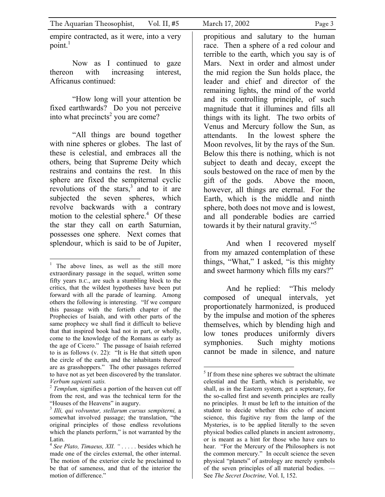| The Aquarian Theosophist, | Vol. II, $#5$ | March 17, 2002 | Page 3 |
|---------------------------|---------------|----------------|--------|
|                           |               |                |        |

empire contracted, as it were, into a very point. $<sup>1</sup>$ </sup>

Now as I continued to gaze thereon with increasing interest, Africanus continued:

"How long will your attention be fixed earthwards? Do you not perceive into what precincts<sup>2</sup> you are come?

"All things are bound together with nine spheres or globes. The last of these is celestial, and embraces all the others, being that Supreme Deity which restrains and contains the rest. In this sphere are fixed the sempiternal cyclic revolutions of the stars, $3$  and to it are subjected the seven spheres, which revolve backwards with a contrary motion to the celestial sphere. $4$  Of these the star they call on earth Saturnian, possesses one sphere. Next comes that splendour, which is said to be of Jupiter,

 $\overline{a}$ 

propitious and salutary to the human race. Then a sphere of a red colour and terrible to the earth, which you say is of Mars. Next in order and almost under the mid region the Sun holds place, the leader and chief and director of the remaining lights, the mind of the world and its controlling principle, of such magnitude that it illumines and fills all things with its light. The two orbits of Venus and Mercury follow the Sun, as attendants. In the lowest sphere the Moon revolves, lit by the rays of the Sun. Below this there is nothing, which is not subject to death and decay, except the souls bestowed on the race of men by the gift of the gods. Above the moon, however, all things are eternal. For the Earth, which is the middle and ninth sphere, both does not move and is lowest, and all ponderable bodies are carried towards it by their natural gravity."<sup>5</sup>

And when I recovered myself from my amazed contemplation of these things, "What," I asked, "is this mighty and sweet harmony which fills my ears?"

And he replied: "This melody composed of unequal intervals, yet proportionately harmonized, is produced by the impulse and motion of the spheres themselves, which by blending high and low tones produces uniformly divers symphonies. Such mighty motions cannot be made in silence, and nature

<sup>&</sup>lt;sup>1</sup> The above lines, as well as the still more extraordinary passage in the sequel, written some fifty years B.C., are such a stumbling block to the critics, that the wildest hypotheses have been put forward with all the parade of learning. Among others the following is interesting. "If we compare this passage with the fortieth chapter of the Prophecies of Isaiah, and with other parts of the same prophecy we shall find it difficult to believe that that inspired book had not in part, or wholly, come to the knowledge of the Romans as early as the age of Cicero." The passage of Isaiah referred to is as follows (v. 22): "It is He that sitteth upon the circle of the earth, and the inhabitants thereof are as grasshoppers." The other passages referred to have not as yet been discovered by the translator. *Verbum sapienti satis.* 

<sup>2</sup> *Templum,* signifies a portion of the heaven cut off from the rest, and was the technical term for the "Houses of the Heavens" in augury.

<sup>3</sup> *Illi, qui volvuntur, stellarum cursus sempiterni,* a somewhat involved passage; the translation, "the original principles of those endless revolutions which the planets perform," is not warranted by the Latin.

<sup>4</sup> *See Plato, Timaeus, XII. " . . . . .* besides which he made one of the circles external, the other internal. The motion of the exterior circle he proclaimed to be that of sameness, and that of the interior the motion of difference."

 $<sup>5</sup>$  If from these nine spheres we subtract the ultimate</sup> celestial and the Earth, which is perishable, we shall, as in the Eastern system, get a septenary, for the so-called first and seventh principles are really no principles. It must be left to the intuition of the student to decide whether this echo of ancient science, this fugitive ray from the lamp of the Mysteries, is to be applied literally to the seven physical bodies called planets in ancient astronomy, or is meant as a hint for those who have ears to hear. "For the Mercury of the Philosophers is not the common mercury." In occult science the seven physical "planets" of astrology are merely symbols of the seven principles of all material bodies. — See *The Secret Doctrine,* Vol. I, 152.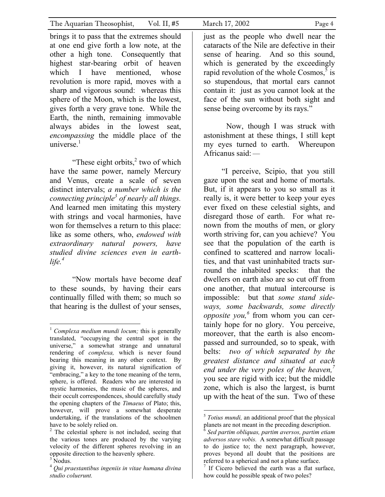brings it to pass that the extremes should at one end give forth a low note, at the other a high tone. Consequently that highest star-bearing orbit of heaven which I have mentioned, whose revolution is more rapid, moves with a sharp and vigorous sound: whereas this sphere of the Moon, which is the lowest, gives forth a very grave tone. While the Earth, the ninth, remaining immovable always abides in the lowest seat, *encompassing* the middle place of the universe $<sup>1</sup>$ </sup>

"These eight orbits, $2$  two of which have the same power, namely Mercury and Venus, create a scale of seven distinct intervals; *a number which is the connecting principle3 of nearly all things.*  And learned men imitating this mystery with strings and vocal harmonies, have won for themselves a return to this place: like as some others, who, *endowed with extraordinary natural powers, have studied divine sciences even in earthlife.4*

"Now mortals have become deaf to these sounds, by having their ears continually filled with them; so much so that hearing is the dullest of your senses,

 $\overline{a}$ 

just as the people who dwell near the cataracts of the Nile are defective in their sense of hearing. And so this sound, which is generated by the exceedingly rapid revolution of the whole Cosmos,  $\frac{5}{5}$  is so stupendous, that mortal ears cannot contain it: just as you cannot look at the face of the sun without both sight and sense being overcome by its rays."

Now, though I was struck with astonishment at these things, I still kept my eyes turned to earth. Whereupon Africanus said: —

"I perceive, Scipio, that you still gaze upon the seat and home of mortals. But, if it appears to you so small as it really is, it were better to keep your eyes ever fixed on these celestial sights, and disregard those of earth. For what renown from the mouths of men, or glory worth striving for, can you achieve? You see that the population of the earth is confined to scattered and narrow localities, and that vast uninhabited tracts surround the inhabited specks: that the dwellers on earth also are so cut off from one another, that mutual intercourse is impossible: but that *some stand sideways, some backwards, some directly opposite you,6* from whom you can certainly hope for no glory. You perceive, moreover, that the earth is also encompassed and surrounded, so to speak, with belts: *two of which separated by the greatest distance and situated at each end under the very poles of the heaven,7* you see are rigid with ice; but the middle zone, which is also the largest, is burnt up with the heat of the sun. Two of these

<sup>1</sup> *Complexa medium mundi locum;* this is generally translated, "occupying the central spot in the universe," a somewhat strange and unnatural rendering of *complexa,* which is never found bearing this meaning in any other context. By giving it, however, its natural signification of "embracing," a key to the tone meaning of the term, sphere, is offered. Readers who are interested in mystic harmonies, the music of the spheres, and their occult correspondences, should carefully study the opening chapters of the *Timaeus* of Plato; this, however, will prove a somewhat desperate undertaking, if the translations of the schoolmen have to be solely relied on.

<sup>&</sup>lt;sup>2</sup> The celestial sphere is not included, seeing that the various tones are produced by the varying velocity of the different spheres revolving in an opposite direction to the heavenly sphere.

 $3$  Nodus.

<sup>4</sup> *Qui praestantibus ingeniis in vitae humana divina studio coluerunt.* 

<sup>5</sup> *Totius mundi,* an additional proof that the physical planets are not meant in the preceding description.

<sup>6</sup> *Sed partim obliquas, partim aversos, partim etiam adversos stare vobis.* A somewhat difficult passage to do justice to; the next paragraph, however, proves beyond all doubt that the positions are referred to a spherical and not a plane surface.

If Cicero believed the earth was a flat surface, how could he possible speak of two poles?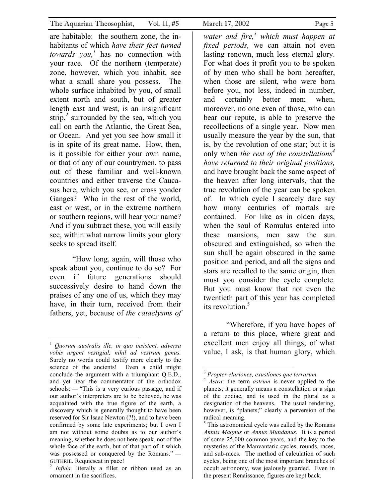are habitable: the southern zone, the inhabitants of which *have their feet turned towards you,<sup>1</sup>* has no connection with your race. Of the northern (temperate) zone, however, which you inhabit, see what a small share you possess. The whole surface inhabited by you, of small extent north and south, but of greater length east and west, is an insignificant strip, $2$  surrounded by the sea, which you call on earth the Atlantic, the Great Sea, or Ocean. And yet you see how small it is in spite of its great name. How, then, is it possible for either your own name, or that of any of our countrymen, to pass out of these familiar and well-known countries and either traverse the Caucasus here, which you see, or cross yonder Ganges? Who in the rest of the world, east or west, or in the extreme northern or southern regions, will hear your name? And if you subtract these, you will easily see, within what narrow limits your glory seeks to spread itself.

"How long, again, will those who speak about you, continue to do so? For even if future generations should successively desire to hand down the praises of any one of us, which they may have, in their turn, received from their fathers, yet, because of *the cataclysms of* 

*water and fire,<sup>3</sup> which must happen at fixed periods,* we can attain not even lasting renown, much less eternal glory. For what does it profit you to be spoken of by men who shall be born hereafter, when those are silent, who were born before you, not less, indeed in number, and certainly better men; when, moreover, no one even of those, who can bear our repute, is able to preserve the recollections of a single year. Now men usually measure the year by the sun, that is, by the revolution of one star; but it is only when *the rest of the constellations<sup>4</sup> have returned to their original positions,*  and have brought back the same aspect of the heaven after long intervals, that the true revolution of the year can be spoken of. In which cycle I scarcely dare say how many centuries of mortals are contained. For like as in olden days, when the soul of Romulus entered into these mansions, men saw the sun obscured and extinguished, so when the sun shall be again obscured in the same position and period, and all the signs and stars are recalled to the same origin, then must you consider the cycle complete. But you must know that not even the twentieth part of this year has completed its revolution.<sup>5</sup>

"Wherefore, if you have hopes of a return to this place, where great and excellent men enjoy all things; of what value, I ask, is that human glory, which

<sup>1</sup> *Quorum australis ille, in quo insistent, adversa vobis urgent vestigial, nihil ad vestrum genus.*  Surely no words could testify more clearly to the science of the ancients! Even a child might conclude the argument with a triumphant Q.E.D., and yet hear the commentator of the orthodox schools: — "This is a very curious passage, and if our author's interpreters are to be believed, he was acquainted with the true figure of the earth, a discovery which is generally thought to have been reserved for Sir Isaac Newton (?!), and to have been confirmed by some late experiments; but I own I am not without some doubts as to our author's meaning, whether he does not here speak, not of the whole face of the earth, but of that part of it which was possessed or conquered by the Romans." — GUTHRIE. Requiescat in pace!<br><sup>2</sup> *Infula*, literally a fillet or ribbon used as an

ornament in the sacrifices.

<sup>3</sup> *Propter eluriones, exustiones que terrarum.* 

<sup>4</sup> *Astra;* the term *astrum* is never applied to the planets; it generally means a constellation or a sign of the zodiac, and is used in the plural as a designation of the heavens. The usual rendering, however, is "planets;" clearly a perversion of the radical meaning.

<sup>&</sup>lt;sup>5</sup> This astronomical cycle was called by the Romans *Annus Magnus* or *Annus Mundanus.* It is a period of some 25,000 common years, and the key to the mysteries of the Manvantaric cycles, rounds, races, and sub-races. The method of calculation of such cycles, being one of the most important branches of occult astronomy, was jealously guarded. Even in the present Renaissance, figures are kept back.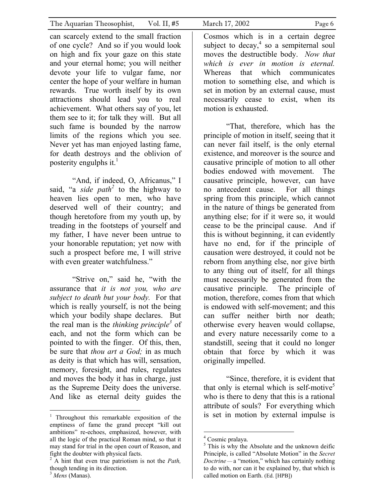can scarcely extend to the small fraction of one cycle? And so if you would look on high and fix your gaze on this state and your eternal home; you will neither devote your life to vulgar fame, nor center the hope of your welfare in human rewards. True worth itself by its own attractions should lead you to real achievement. What others say of you, let them see to it; for talk they will. But all such fame is bounded by the narrow limits of the regions which you see. Never yet has man enjoyed lasting fame, for death destroys and the oblivion of posterity engulphs it. $<sup>1</sup>$ </sup>

"And, if indeed, O, Africanus," I said, "a *side path*<sup>2</sup> to the highway to heaven lies open to men, who have deserved well of their country; and though heretofore from my youth up, by treading in the footsteps of yourself and my father, I have never been untrue to your honorable reputation; yet now with such a prospect before me, I will strive with even greater watchfulness."

"Strive on," said he, "with the assurance that *it is not you, who are subject to death but your body.* For that which is really yourself, is not the being which your bodily shape declares. But the real man is the *thinking principle3* of each, and not the form which can be pointed to with the finger. Of this, then, be sure that *thou art a God;* in as much as deity is that which has will, sensation, memory, foresight, and rules, regulates and moves the body it has in charge, just as the Supreme Deity does the universe. And like as eternal deity guides the

 $\overline{a}$ 

Cosmos which is in a certain degree subject to decay,  $4$  so a sempiternal soul moves the destructible body. *Now that which is ever in motion is eternal.* Whereas that which communicates motion to something else, and which is set in motion by an external cause, must necessarily cease to exist, when its motion is exhausted.

"That, therefore, which has the principle of motion in itself, seeing that it can never fail itself, is the only eternal existence, and moreover is the source and causative principle of motion to all other bodies endowed with movement. The causative principle, however, can have no antecedent cause. For all things spring from this principle, which cannot in the nature of things be generated from anything else; for if it were so, it would cease to be the principal cause. And if this is without beginning, it can evidently have no end, for if the principle of causation were destroyed, it could not be reborn from anything else, nor give birth to any thing out of itself, for all things must necessarily be generated from the causative principle. The principle of motion, therefore, comes from that which is endowed with self-movement; and this can suffer neither birth nor death; otherwise every heaven would collapse, and every nature necessarily come to a standstill, seeing that it could no longer obtain that force by which it was originally impelled.

"Since, therefore, it is evident that that only is eternal which is self-motive<sup>5</sup> who is there to deny that this is a rational attribute of souls? For everything which is set in motion by external impulse is

<sup>&</sup>lt;sup>1</sup> Throughout this remarkable exposition of the emptiness of fame the grand precept "kill out ambitions" re-echoes, emphasized, however, with all the logic of the practical Roman mind, so that it may stand for trial in the open court of Reason, and fight the doubter with physical facts.

<sup>2</sup> A hint that even true patriotism is not the *Path,*  though tending in its direction.

<sup>3</sup> *Mens* (Manas).

<sup>4</sup> Cosmic pralaya.

<sup>&</sup>lt;sup>5</sup> This is why the Absolute and the unknown deific Principle, is called "Absolute Motion" in the *Secret Doctrine —* a "motion," which has certainly nothing to do with, nor can it be explained by, that which is called motion on Earth. (Ed. [HPB])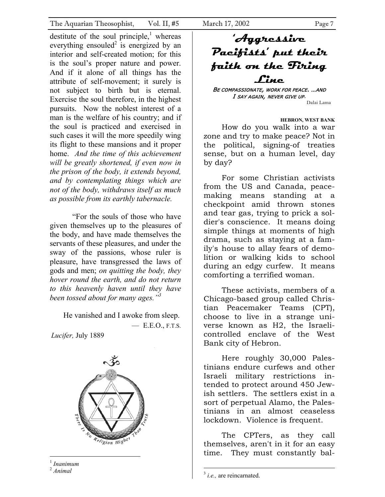destitute of the soul principle,<sup>1</sup> whereas everything ensouled<sup>2</sup> is energized by an interior and self-created motion; for this is the soul's proper nature and power. And if it alone of all things has the attribute of self-movement; it surely is not subject to birth but is eternal. Exercise the soul therefore, in the highest pursuits. Now the noblest interest of a man is the welfare of his country; and if the soul is practiced and exercised in such cases it will the more speedily wing its flight to these mansions and it proper home. *And the time of this achievement will be greatly shortened, if even now in the prison of the body, it extends beyond, and by contemplating things which are not of the body, withdraws itself as much as possible from its earthly tabernacle.*

"For the souls of those who have given themselves up to the pleasures of the body, and have made themselves the servants of these pleasures, and under the sway of the passions, whose ruler is pleasure, have transgressed the laws of gods and men; *on quitting the body, they hover round the earth, and do not return to this heavenly haven until they have been tossed about for many ages."3*

He vanished and I awoke from sleep. — E.E.O., F.T.S.

*Lucifer,* July 1889



<sup>1</sup> *Inanimum* 

 $\overline{a}$ 

## **'Aggressive Pacifists' put their faith on the Firing Line**

BE COMPASSIONATE, WORK FOR PEACE. …AND I SAY AGAIN, NEVER GIVE UP. Dalai Lama

**HEBRON, WEST BANK**  How do you walk into a war zone and try to make peace? Not in the political, signing-of treaties sense, but on a human level, day by day?

For some Christian activists from the US and Canada, peacemaking means standing at a checkpoint amid thrown stones and tear gas, trying to prick a soldier's conscience. It means doing simple things at moments of high drama, such as staying at a family's house to allay fears of demolition or walking kids to school during an edgy curfew. It means comforting a terrified woman.

These activists, members of a Chicago-based group called Christian Peacemaker Teams (CPT), choose to live in a strange universe known as H2, the Israelicontrolled enclave of the West Bank city of Hebron.

Here roughly 30,000 Palestinians endure curfews and other Israeli military restrictions intended to protect around 450 Jewish settlers. The settlers exist in a sort of perpetual Alamo, the Palestinians in an almost ceaseless lockdown. Violence is frequent.

The CPTers, as they call themselves, aren't in it for an easy time. They must constantly bal-

<sup>2</sup> *Animal* 

<sup>&</sup>lt;sup>3</sup> *i.e.*, are reincarnated.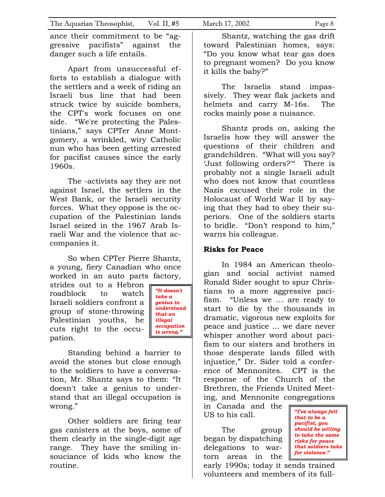ance their commitment to be "aggressive pacifists" against the danger such a life entails.

Apart from unsuccessful efforts to establish a dialogue with the settlers and a week of riding an Israeli bus line that had been struck twice by suicide bombers, the CPT's work focuses on one side. "We're protecting the Palestinians," says CPTer Anne Montgomery, a wrinkled, wiry Catholic nun who has been getting arrested for pacifist causes since the early 1960s.

The -activists say they are not against Israel, the settlers in the West Bank, or the Israeli security forces. What they oppose is the occupation of the Palestinian lands Israel seized in the 1967 Arab Israeli War and the violence that accompanies it.

So when CPTer Pierre Shantz, a young, fiery Canadian who once worked in an auto parts factory,

strides out to a Hebron roadblock to watch Israeli soldiers confront a group of stone-throwing Palestinian youths, he cuts right to the occupation.



Standing behind a barrier to avoid the stones but close enough to the soldiers to have a conversation, Mr. Shantz says to them: "It doesn't take a genius to understand that an illegal occupation is wrong."

Other soldiers are firing tear gas canisters at the boys, some of them clearly in the single-digit age range. They have the smiling insouciance of kids who know the routine.

Shantz, watching the gas drift toward Palestinian homes, says: "Do you know what tear gas does to pregnant women? Do you know it kills the baby?"

The Israelis stand impassively. They wear flak jackets and helmets and carry M-16s. The rocks mainly pose a nuisance.

Shantz prods on, asking the Israelis how they will answer the questions of their children and grandchildren. "What will you say? 'Just following orders?'" There is probably not a single Israeli adult who does not know that countless Nazis excused their role in the Holocaust of World War II by saying that they had to obey their superiors. One of the soldiers starts to bridle. "Don't respond to him," warns his colleague.

#### **Risks for Peace**

In 1984 an American theologian and social activist named Ronald Sider sought to spur Christians to a more aggressive pacifism. "Unless we … are ready to start to die by the thousands in dramatic, vigorous new exploits for peace and justice … we dare never whisper another word about pacifism to our sisters and brothers in those desperate lands filled with injustice," Dr. Sider told a conference of Mennonites. CPT is the response of the Church of the Brethren, the Friends United Meeting, and Mennonite congregations

in Canada and the US to his call.

The group began by dispatching delegations to wartorn areas in the

*"I've always felt that to be a pacifist, you should be willing to take the same risks for peace that soldiers take for violence."*

early 1990s; today it sends trained volunteers and members of its full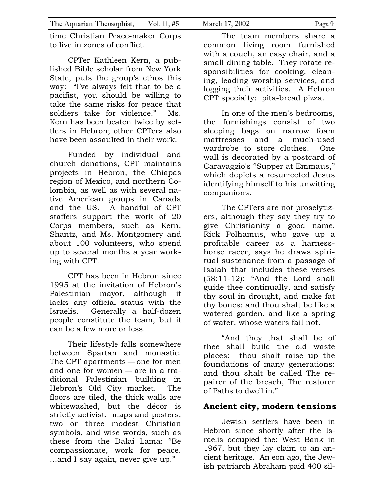time Christian Peace-maker Corps to live in zones of conflict.

CPTer Kathleen Kern, a published Bible scholar from New York State, puts the group's ethos this way: "I've always felt that to be a pacifist, you should be willing to take the same risks for peace that soldiers take for violence." Ms. Kern has been beaten twice by settlers in Hebron; other CPTers also have been assaulted in their work.

Funded by individual and church donations, CPT maintains projects in Hebron, the Chiapas region of Mexico, and northern Colombia, as well as with several native American groups in Canada and the US. A handful of CPT staffers support the work of 20 Corps members, such as Kern, Shantz, and Ms. Montgomery and about 100 volunteers, who spend up to several months a year working with CPT.

CPT has been in Hebron since 1995 at the invitation of Hebron's Palestinian mayor, although it lacks any official status with the Israelis. Generally a half-dozen people constitute the team, but it can be a few more or less.

Their lifestyle falls somewhere between Spartan and monastic. The CPT apartments — one for men and one for women — are in a traditional Palestinian building in Hebron's Old City market. The floors are tiled, the thick walls are whitewashed, but the décor is strictly activist: maps and posters, two or three modest Christian symbols, and wise words, such as these from the Dalai Lama: "Be compassionate, work for peace. …and I say again, never give up."

The team members share a common living room furnished with a couch, an easy chair, and a small dining table. They rotate responsibilities for cooking, cleaning, leading worship services, and logging their activities. A Hebron CPT specialty: pita-bread pizza.

In one of the men's bedrooms, the furnishings consist of two sleeping bags on narrow foam mattresses and a much-used wardrobe to store clothes. One wall is decorated by a postcard of Caravaggio's "Supper at Emmaus," which depicts a resurrected Jesus identifying himself to his unwitting companions.

The CPTers are not proselytizers, although they say they try to give Christianity a good name. Rick Polhamus, who gave up a profitable career as a harnesshorse racer, says he draws spiritual sustenance from a passage of Isaiah that includes these verses (58:11-12): "And the Lord shall guide thee continually, and satisfy thy soul in drought, and make fat thy bones: and thou shalt be like a watered garden, and like a spring of water, whose waters fail not.

"And they that shall be of thee shall build the old waste places: thou shalt raise up the foundations of many generations: and thou shalt be called The repairer of the breach, The restorer of Paths to dwell in."

### **Ancient city, modern tensions**

Jewish settlers have been in Hebron since shortly after the Israelis occupied the: West Bank in 1967, but they lay claim to an ancient heritage. An eon ago, the Jewish patriarch Abraham paid 400 sil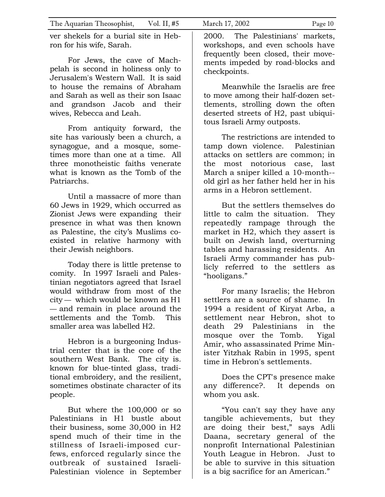ver shekels for a burial site in Hebron for his wife, Sarah.

For Jews, the cave of Machpelah is second in holiness only to Jerusalem's Western Wall. It is said to house the remains of Abraham and Sarah as well as their son Isaac and grandson Jacob and their wives, Rebecca and Leah.

From antiquity forward, the site has variously been a church, a synagogue, and a mosque, sometimes more than one at a time. All three monotheistic faiths venerate what is known as the Tomb of the Patriarchs.

Until a massacre of more than 60 Jews in 1929, which occurred as Zionist Jews were expanding their presence in what was then known as Palestine, the city's Muslims coexisted in relative harmony with their Jewish neighbors.

Today there is little pretense to comity. In 1997 Israeli and Palestinian negotiators agreed that Israel would withdraw from most of the city — which would be known as H1 — and remain in place around the settlements and the Tomb. This smaller area was labelled H2.

Hebron is a burgeoning Industrial center that is the core of. the southern West Bank. The city is*.*  known for blue-tinted glass, traditional embroidery, and the resilient, sometimes obstinate character of its people.

But where the 100,000 or so Palestinians in H1 bustle about their business, some 30,000 in H2 spend much of their time in the stillness of Israeli-imposed curfews, enforced regularly since the outbreak of sustained Israeli-Palestinian violence in September

checkpoints.

Meanwhile the Israelis are free to move among their half-dozen settlements, strolling down the often deserted streets of H2, past ubiquitous Israeli Army outposts.

The restrictions are intended to tamp down violence. Palestinian attacks on settlers are common; in the most notorious case, last March a sniper killed a 10-month- old girl as her father held her in his arms in a Hebron settlement.

But the settlers themselves do little to calm the situation. They repeatedly rampage through the market in H2, which they assert is built on Jewish land, overturning tables and harassing residents. An Israeli Army commander has publicly referred to the settlers as "hooligans."

For many Israelis; the Hebron settlers are a source of shame. In 1994 a resident of Kiryat Arba, a settlement near Hebron, shot to death 29 Palestinians in the mosque over the Tomb. Yigal Amir, who assassinated Prime Minister Yitzhak Rabin in 1995, spent time in Hebron's settlements.

Does the CPT's presence make any difference?. It depends on whom you ask.

"You can't say they have any tangible achievements, but they are doing their best," says Adli Daana, secretary general of the nonprofit International Palestinian Youth League in Hebron. Just to be able to survive in this situation is a big sacrifice for an American."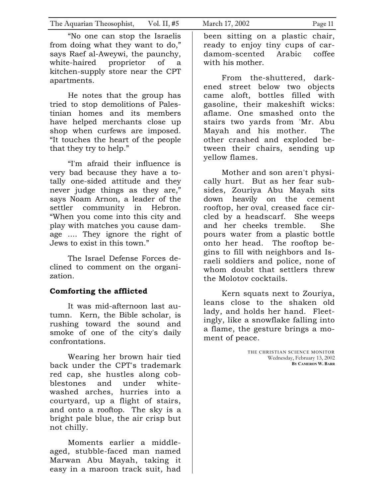"No one can stop the Israelis from doing what they want to do," says Raef al-Aweywi, the paunchy, white-haired proprietor of a kitchen-supply store near the CPT apartments.

He notes that the group has tried to stop demolitions of Palestinian homes and its members have helped merchants close up shop when curfews are imposed. "It touches the heart of the people that they try to help."

"I'm afraid their influence is very bad because they have a totally one-sided attitude and they never judge things as they are," says Noam Arnon, a leader of the settler community in Hebron. "When you come into this city and play with matches you cause damage .... They ignore the right of Jews to exist in this town."

The Israel Defense Forces declined to comment on the organization.

#### **Comforting the afflicted**

It was mid-afternoon last autumn. Kern, the Bible scholar, is rushing toward the sound and smoke of one of the city's daily confrontations.

Wearing her brown hair tied back under the CPT's trademark red cap, she hustles along cobblestones and under whitewashed arches, hurries into a courtyard, up a flight of stairs, and onto a rooftop. The sky is a bright pale blue, the air crisp but not chilly.

Moments earlier a middleaged, stubble-faced man named Marwan Abu Mayah, taking it easy in a maroon track suit, had

been sitting on a plastic chair, ready to enjoy tiny cups of cardamom-scented Arabic coffee with his mother.

From the-shuttered, darkened street below two objects came aloft, bottles filled with gasoline, their makeshift wicks: aflame. One smashed onto the stairs two yards from 'Mr. Abu Mayah and his mother. The other crashed and exploded between their chairs, sending up yellow flames.

Mother and son aren't physically hurt. But as her fear subsides, Zouriya Abu Mayah sits down heavily on the cement rooftop, her oval, creased face circled by a headscarf. She weeps and her cheeks tremble. She pours water from a plastic bottle onto her head. The rooftop begins to fill with neighbors and Israeli soldiers and police, none of whom doubt that settlers threw the Molotov cocktails.

Kern squats next to Zouriya, leans close to the shaken old lady, and holds her hand. Fleetingly, like a snowflake falling into a flame, the gesture brings a moment of peace.

> THE CHRISTIAN SCIENCE MONITOR Wednesday, February 13, 2002 **BY CAMERON W. BARR**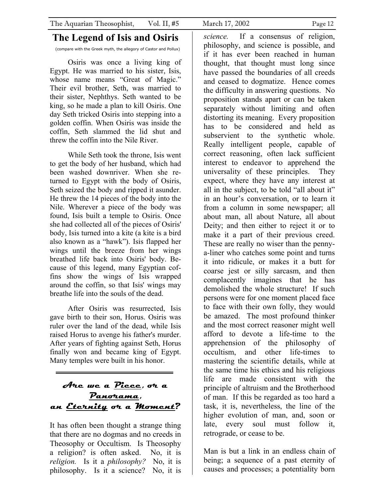## **The Legend of Isis and Osiris**

(compare with the Greek myth, the allegory of Castor and Pollux)

Osiris was once a living king of Egypt. He was married to his sister, Isis, whose name means "Great of Magic." Their evil brother, Seth, was married to their sister, Nephthys. Seth wanted to be king, so he made a plan to kill Osiris. One day Seth tricked Osiris into stepping into a golden coffin. When Osiris was inside the coffin, Seth slammed the lid shut and threw the coffin into the Nile River.

While Seth took the throne, Isis went to get the body of her husband, which had been washed downriver. When she returned to Egypt with the body of Osiris, Seth seized the body and ripped it asunder. He threw the 14 pieces of the body into the Nile. Wherever a piece of the body was found, Isis built a temple to Osiris. Once she had collected all of the pieces of Osiris' body, Isis turned into a kite (a kite is a bird also known as a "hawk"). Isis flapped her wings until the breeze from her wings breathed life back into Osiris' body. Because of this legend, many Egyptian coffins show the wings of Isis wrapped around the coffin, so that Isis' wings may breathe life into the souls of the dead.

After Osiris was resurrected, Isis gave birth to their son, Horus. Osiris was ruler over the land of the dead, while Isis raised Horus to avenge his father's murder. After years of fighting against Seth, Horus finally won and became king of Egypt. Many temples were built in his honor.

**Are we a Piece, or a Panorama, an Eternity or a Moment?** 

It has often been thought a strange thing that there are no dogmas and no creeds in Theosophy or Occultism. Is Theosophy a religion? is often asked. No, it is *religion.* Is it a *philosophy?* No, it is philosophy. Is it a science? No, it is

*science.* If a consensus of religion, philosophy, and science is possible, and if it has ever been reached in human thought, that thought must long since have passed the boundaries of all creeds and ceased to dogmatize. Hence comes the difficulty in answering questions. No proposition stands apart or can be taken separately without limiting and often distorting its meaning. Every proposition has to be considered and held as subservient to the synthetic whole. Really intelligent people, capable of correct reasoning, often lack sufficient interest to endeavor to apprehend the universality of these principles. They expect, where they have any interest at all in the subject, to be told "all about it" in an hour's conversation, or to learn it from a column in some newspaper; all about man, all about Nature, all about Deity; and then either to reject it or to make it a part of their previous creed. These are really no wiser than the pennya-liner who catches some point and turns it into ridicule, or makes it a butt for coarse jest or silly sarcasm, and then complacently imagines that he has demolished the whole structure! If such persons were for one moment placed face to face with their own folly, they would be amazed. The most profound thinker and the most correct reasoner might well afford to devote a life-time to the apprehension of the philosophy of occultism, and other life-times to mastering the scientific details, while at the same time his ethics and his religious life are made consistent with the principle of altruism and the Brotherhood of man. If this be regarded as too hard a task, it is, nevertheless, the line of the higher evolution of man, and, soon or late, every soul must follow it, retrograde, or cease to be.

Man is but a link in an endless chain of being; a sequence of a past eternity of causes and processes; a potentiality born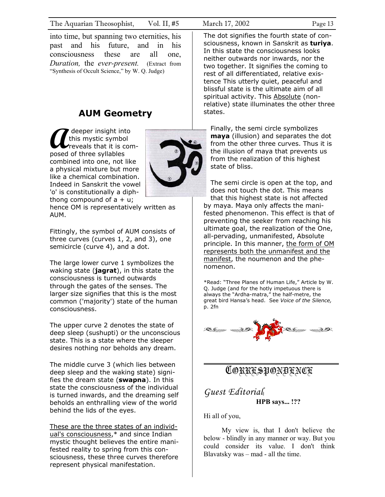into time, but spanning two eternities, his past and his future, and in his consciousness these are all one, *Duration,* the *ever-present.* (Extract from "Synthesis of Occult Science," by W. Q. Judge)

## **AUM Geometry**

 deeper insight into this mystic symbol reveals that it is com-**A** deeper insight int<br>this mystic symbor<br>posed of three syllables combined into one, not like a physical mixture but more like a chemical combination. Indeed in Sanskrit the vowel 'o' is constitutionally a diphthong compound of  $a + u$ ;



hence OM is representatively written as AUM.

Fittingly, the symbol of AUM consists of three curves (curves 1, 2, and 3), one semicircle (curve 4), and a dot.

The large lower curve 1 symbolizes the waking state (**jagrat**), in this state the consciousness is turned outwards through the gates of the senses. The larger size signifies that this is the most common ('majority') state of the human consciousness.

The upper curve 2 denotes the state of deep sleep (sushupti) or the unconscious state. This is a state where the sleeper desires nothing nor beholds any dream.

The middle curve 3 (which lies between deep sleep and the waking state) signifies the dream state (**swapna**). In this state the consciousness of the individual is turned inwards, and the dreaming self beholds an enthralling view of the world behind the lids of the eyes.

These are the three states of an individual's consciousness,\* and since Indian mystic thought believes the entire manifested reality to spring from this consciousness, these three curves therefore represent physical manifestation.

The dot signifies the fourth state of consciousness, known in Sanskrit as **turiya**. In this state the consciousness looks neither outwards nor inwards, nor the two together. It signifies the coming to rest of all differentiated, relative existence This utterly quiet, peaceful and blissful state is the ultimate aim of all spiritual activity. This Absolute (nonrelative) state illuminates the other three states.

Finally, the semi circle symbolizes **maya** (illusion) and separates the dot from the other three curves. Thus it is the illusion of maya that prevents us from the realization of this highest state of bliss.

The semi circle is open at the top, and does not touch the dot. This means that this highest state is not affected by maya. Maya only affects the manifested phenomenon. This effect is that of preventing the seeker from reaching his ultimate goal, the realization of the One, all-pervading, unmanifested, Absolute principle. In this manner, the form of OM represents both the unmanifest and the manifest, the noumenon and the phenomenon.

\*Read: "Three Planes of Human Life," Article by W. Q. Judge (and for the hotly impetuous there is always the "Ardha-matra," the half-metre, the great bird Hansa's head. See *Voice of the Silence,*  p. 2fn



## CORRESPONDENCE

*Guest Editorial*] **HPB says... !??** 

Hi all of you,

My view is, that I don't believe the below - blindly in any manner or way. But you could consider its value. I don't think Blavatsky was – mad - all the time.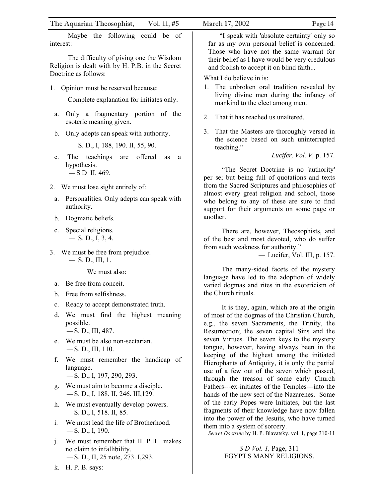| The Aquarian Theosophist,<br>Vol. II, $#5$                                                                                                                         | March 17, 2002<br>Page 14                                                                                                                                                                                                         |
|--------------------------------------------------------------------------------------------------------------------------------------------------------------------|-----------------------------------------------------------------------------------------------------------------------------------------------------------------------------------------------------------------------------------|
| Maybe the following could be of<br>interest:<br>The difficulty of giving one the Wisdom<br>Religion is dealt with by H. P.B. in the Secret<br>Doctrine as follows: | "I speak with 'absolute certainty' only so<br>far as my own personal belief is concerned.<br>Those who have not the same warrant for<br>their belief as I have would be very credulous<br>and foolish to accept it on blind faith |
| 1. Opinion must be reserved because:<br>Complete explanation for initiates only.                                                                                   | What I do believe in is:<br>1. The unbroken oral tradition revealed by<br>living divine men during the infancy of<br>mankind to the elect among men.                                                                              |
| Only a fragmentary portion of the<br>a.<br>esoteric meaning given.                                                                                                 | That it has reached us unaltered.<br>2.                                                                                                                                                                                           |
| Only adepts can speak with authority.<br>b.<br>$-$ S. D., I, 188, 190. II, 55, 90.<br>offered<br>teachings<br>The<br>are<br>as<br>c.<br>a                          | 3. That the Masters are thoroughly versed in<br>the science based on such uninterrupted<br>teaching."<br>$-Lucifer, Vol. V, p. 157.$                                                                                              |
| hypothesis.<br>$-$ SD II, 469.                                                                                                                                     | "The Secret Doctrine is no 'authority'<br>per se; but being full of quotations and texts<br>from the Sacred Scriptures and philosophies of                                                                                        |
| 2. We must lose sight entirely of:<br>Personalities. Only adepts can speak with<br>a.<br>authority.                                                                | almost every great religion and school, those<br>who belong to any of these are sure to find<br>support for their arguments on some page or                                                                                       |
| Dogmatic beliefs.<br>b.<br>Special religions.<br>$\mathbf{c}$ .                                                                                                    | another.<br>There are, however, Theosophists, and                                                                                                                                                                                 |
| $-$ S. D., I, 3, 4.<br>3. We must be free from prejudice.<br>$-$ S. D., III, 1.                                                                                    | of the best and most devoted, who do suffer<br>from such weakness for authority."<br>- Lucifer, Vol. III, p. 157.                                                                                                                 |
| We must also:<br>Be free from conceit.<br>a.<br>Free from selfishness.<br>$b_{\cdot}$                                                                              | The many-sided facets of the mystery<br>language have led to the adoption of widely<br>varied dogmas and rites in the exotericism of<br>the Church rituals.                                                                       |
| Ready to accept demonstrated truth.<br>$\mathbf{c}$ .<br>We must find the highest meaning<br>d.<br>possible.<br>$-S. D., III, 487.$                                | It is they, again, which are at the origin<br>of most of the dogmas of the Christian Church,<br>e.g., the seven Sacraments, the Trinity, the<br>Resurrection; the seven capital Sins and the                                      |
| We must be also non-sectarian.<br>e.<br>$-$ S. D., III, 110.                                                                                                       | seven Virtues. The seven keys to the mystery<br>tongue, however, having always been in the                                                                                                                                        |
| We must remember the handicap of<br>f.<br>language.<br>$-$ S. D., I, 197, 290, 293.                                                                                | keeping of the highest among the initiated<br>Hierophants of Antiquity, it is only the partial<br>use of a few out of the seven which passed,<br>through the treason of some early Church                                         |
| We must aim to become a disciple.<br>g.<br>$-$ S. D., I, 188. II, 246. III, 129.                                                                                   | Fathers---ex-initiates of the Temples---into the<br>hands of the new sect of the Nazarenes. Some                                                                                                                                  |
| We must eventually develop powers.<br>h.<br>$\sim$ S. D., I, 518. II, 85.                                                                                          | of the early Popes were Initiates, but the last<br>fragments of their knowledge have now fallen                                                                                                                                   |
| We must lead the life of Brotherhood.<br>i.<br>$-$ S. D., I, 190.                                                                                                  | into the power of the Jesuits, who have turned<br>them into a system of sorcery.<br>Secret Doctrine by H. P. Blavatsky, vol. 1, page 310-11                                                                                       |
| We must remember that H. P.B. makes<br>j.<br>no claim to infallibility.<br>-S. D., II, 25 note, 273. I, 293.                                                       | S D Vol. 1, Page, 311<br>EGYPT'S MANY RELIGIONS.                                                                                                                                                                                  |
| H. P. B. says:<br>k.                                                                                                                                               |                                                                                                                                                                                                                                   |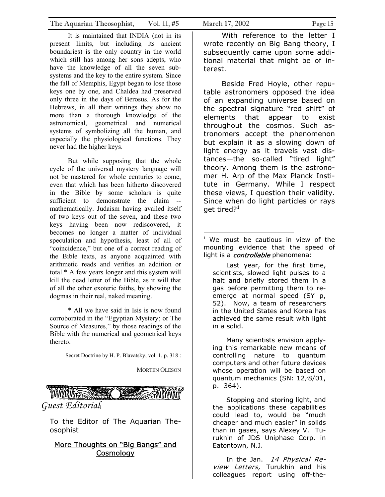It is maintained that INDIA (not in its present limits, but including its ancient boundaries) is the only country in the world which still has among her sons adepts, who have the knowledge of all the seven subsystems and the key to the entire system. Since the fall of Memphis, Egypt began to lose those keys one by one, and Chaldea had preserved only three in the days of Berosus. As for the Hebrews, in all their writings they show no more than a thorough knowledge of the astronomical, geometrical and numerical systems of symbolizing all the human, and especially the physiological functions. They never had the higher keys.

But while supposing that the whole cycle of the universal mystery language will not be mastered for whole centuries to come, even that which has been hitherto discovered in the Bible by some scholars is quite sufficient to demonstrate the claim -mathematically. Judaism having availed itself of two keys out of the seven, and these two keys having been now rediscovered, it becomes no longer a matter of individual speculation and hypothesis, least of all of "coincidence," but one of a correct reading of the Bible texts, as anyone acquainted with arithmetic reads and verifies an addition or total.\* A few years longer and this system will kill the dead letter of the Bible, as it will that of all the other exoteric faiths, by showing the dogmas in their real, naked meaning.

\* All we have said in Isis is now found corroborated in the "Egyptian Mystery; or The Source of Measures," by those readings of the Bible with the numerical and geometrical keys thereto.

Secret Doctrine by H. P. Blavatsky, vol. 1, p. 318 :

MORTEN OLESON



To the Editor of The Aquarian Theosophist

#### More Thoughts on "Big Bangs" and **Cosmology**

 With reference to the letter I wrote recently on Big Bang theory, I subsequently came upon some additional material that might be of interest.

 Beside Fred Hoyle, other reputable astronomers opposed the idea of an expanding universe based on the spectral signature "red shift" of elements that appear to exist throughout the cosmos. Such astronomers accept the phenomenon but explain it as a slowing down of light energy as it travels vast distances—the so-called "tired light" theory. Among them is the astronomer H. Arp of the Max Planck Institute in Germany. While I respect these views, I question their validity. Since when do light particles or rays get tired? $1$ 

 We must be cautious in view of the mounting evidence that the speed of light is a *controllable* phenomena:

Last year, for the first time, scientists, slowed light pulses to a halt and briefly stored them in a gas before permitting them to reemerge at normal speed (SY p, 52). Now, a team of researchers in the United States and Korea has achieved the same result with light in a solid.

Many scientists envision applying this remarkable new means of controlling nature to quantum computers and other future devices whose operation will be based on quantum mechanics (SN: 12/8/01, p. 364).

Stopping and storing light, and the applications these capabilities could lead to, would be "much cheaper and much easier" in solids than in gases, says Alexey V. Turukhin of JDS Uniphase Corp. in Eatontown, N.J.

In the Jan. 14 Physical Review Letters, Turukhin and his colleagues report using off-the-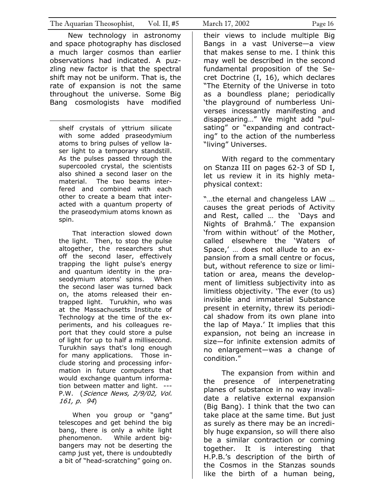New technology in astronomy and space photography has disclosed a much larger cosmos than earlier observations had indicated. A puzzling new factor is that the spectral shift may not be uniform. That is, the rate of expansion is not the same throughout the universe. Some Big Bang cosmologists have modified

 $\overline{a}$ 

shelf crystals of yttrium silicate with some added praseodymium atoms to bring pulses of yellow laser light to a temporary standstill. As the pulses passed through the supercooled crystal, the scientists also shined a second laser on the material. The two beams interfered and combined with each other to create a beam that interacted with a quantum property of the praseodymium atoms known as spin.

That interaction slowed down the light. Then, to stop the pulse altogether, the researchers shut off the second laser, effectively trapping the light pulse's energy and quantum identity in the praseodymium atoms' spins. When the second laser was turned back on, the atoms released their entrapped light. Turukhin, who was at the Massachusetts Institute of Technology at the time of the experiments, and his colleagues report that they could store a pulse of light for up to half a millisecond. Turukhin says that's long enough for many applications. Those include storing and processing information in future computers that would exchange quantum information between matter and light. --- P.W. (Science News, 2/9/02, Vol. 161, p. 94)

When you group or "gang" telescopes and get behind the big bang, there is only a white light phenomenon. While ardent bigbangers may not be deserting the camp just yet, there is undoubtedly a bit of "head-scratching" going on.

their views to include multiple Big Bangs in a vast Universe—a view that makes sense to me. I think this may well be described in the second fundamental proposition of the Secret Doctrine (I, 16), which declares "The Eternity of the Universe in toto as a boundless plane; periodically 'the playground of numberless Universes incessantly manifesting and disappearing…" We might add "pulsating" or "expanding and contracting" to the action of the numberless "living" Universes.

 With regard to the commentary on Stanza III on pages 62-3 of SD I, let us review it in its highly metaphysical context:

"…the eternal and changeless LAW … causes the great periods of Activity and Rest, called … the 'Days and Nights of Brahmâ.' The expansion 'from within without' of the Mother, called elsewhere the 'Waters of Space,' … does not allude to an expansion from a small centre or focus, but, without reference to size or limitation or area, means the development of limitless subjectivity into as limitless objectivity. 'The ever (to us) invisible and immaterial Substance present in eternity, threw its periodical shadow from its own plane into the lap of Maya.' It implies that this expansion, not being an increase in size—for infinite extension admits of no enlargement—was a change of condition."

 The expansion from within and the presence of interpenetrating planes of substance in no way invalidate a relative external expansion (Big Bang). I think that the two can take place at the same time. But just as surely as there may be an incredibly huge expansion, so will there also be a similar contraction or coming together. It is interesting that H.P.B.'s description of the birth of the Cosmos in the Stanzas sounds like the birth of a human being,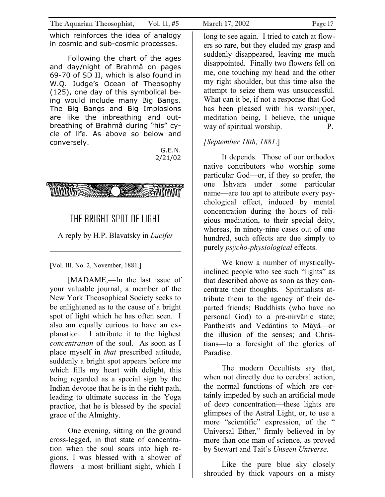which reinforces the idea of analogy in cosmic and sub-cosmic processes.

 Following the chart of the ages and day/night of Brahmâ on pages 69-70 of SD II, which is also found in W.Q. Judge's Ocean of Theosophy (125), one day of this symbolical being would include many Big Bangs. The Big Bangs and Big Implosions are like the inbreathing and outbreathing of Brahmâ during "his" cycle of life. As above so below and conversely.

> G.E.N. 2/21/02



## THE BRIGHT SPOT OF LIGHT

A reply by H.P. Blavatsky in *Lucifer*

[Vol. III. No. 2, November, 1881.]

[MADAME,—In the last issue of your valuable journal, a member of the New York Theosophical Society seeks to be enlightened as to the cause of a bright spot of light which he has often seen. I also am equally curious to have an explanation. I attribute it to the highest *concentration* of the soul. As soon as I place myself in *that* prescribed attitude, suddenly a bright spot appears before me which fills my heart with delight, this being regarded as a special sign by the Indian devotee that he is in the right path, leading to ultimate success in the Yoga practice, that he is blessed by the special grace of the Almighty.

One evening, sitting on the ground cross-legged, in that state of concentration when the soul soars into high regions, I was blessed with a shower of flowers—a most brilliant sight, which I

long to see again. I tried to catch at flowers so rare, but they eluded my grasp and suddenly disappeared, leaving me much disappointed. Finally two flowers fell on me, one touching my head and the other my right shoulder, but this time also the attempt to seize them was unsuccessful. What can it be, if not a response that God has been pleased with his worshipper, meditation being, I believe, the unique way of spiritual worship. P.

## *[September 18th, 1881*.]

It depends. Those of our orthodox native contributors who worship some particular God—or, if they so prefer, the one Îshvara under some particular name—are too apt to attribute every psychological effect, induced by mental concentration during the hours of religious meditation, to their special deity, whereas, in ninety-nine cases out of one hundred, such effects are due simply to purely *psycho-physiological* effects.

We know a number of mysticallyinclined people who see such "lights" as that described above as soon as they concentrate their thoughts. Spiritualists attribute them to the agency of their departed friends; Buddhists (who have no personal God) to a pre-nirvânic state; Pantheists and Vedântins to Mâyâ—or the illusion of the senses; and Christians—to a foresight of the glories of Paradise.

The modern Occultists say that, when not directly due to cerebral action, the normal functions of which are certainly impeded by such an artificial mode of deep concentration—these lights are glimpses of the Astral Light, or, to use a more "scientific" expression, of the " Universal Ether," firmly believed in by more than one man of science, as proved by Stewart and Tait's *Unseen Universe*.

Like the pure blue sky closely shrouded by thick vapours on a misty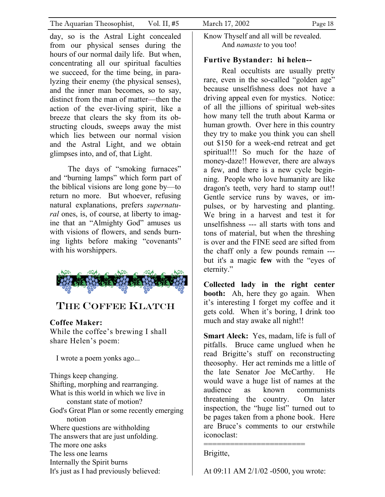day, so is the Astral Light concealed from our physical senses during the hours of our normal daily life. But when, concentrating all our spiritual faculties we succeed, for the time being, in paralyzing their enemy (the physical senses), and the inner man becomes, so to say, distinct from the man of matter—then the action of the ever-living spirit, like a breeze that clears the sky from its obstructing clouds, sweeps away the mist which lies between our normal vision and the Astral Light, and we obtain glimpses into, and of, that Light.

The days of "smoking furnaces" and "burning lamps" which form part of the biblical visions are long gone by—to return no more. But whoever, refusing natural explanations, prefers *supernatural* ones, is, of course, at liberty to imagine that an "Almighty God" amuses us with visions of flowers, and sends burning lights before making "covenants" with his worshippers.



## THE COFFEE KLATCH

#### **Coffee Maker:**

While the coffee's brewing I shall share Helen's poem:

I wrote a poem yonks ago...

Things keep changing. Shifting, morphing and rearranging. What is this world in which we live in constant state of motion? God's Great Plan or some recently emerging notion Where questions are withholding The answers that are just unfolding. The more one asks The less one learns Internally the Spirit burns It's just as I had previously believed:

Know Thyself and all will be revealed. And *namaste* to you too!

### **Furtive Bystander: hi helen--**

Real occultists are usually pretty rare, even in the so-called "golden age" because unselfishness does not have a driving appeal even for mystics. Notice: of all the jillions of spiritual web-sites how many tell the truth about Karma or human growth. Over here in this country they try to make you think you can shell out \$150 for a week-end retreat and get spiritual!!! So much for the haze of money-daze!! However, there are always a few, and there is a new cycle beginning. People who love humanity are like dragon's teeth, very hard to stamp out!! Gentle service runs by waves, or impulses, or by harvesting and planting. We bring in a harvest and test it for unselfishness --- all starts with tons and tons of material, but when the threshing is over and the FINE seed are sifted from the chaff only a few pounds remain -- but it's a magic **few** with the "eyes of eternity."

**Collected lady in the right center booth:** Ah, here they go again. When it's interesting I forget my coffee and it gets cold. When it's boring, I drink too much and stay awake all night!!

**Smart Aleck:** Yes, madam, life is full of pitfalls. Bruce came unglued when he read Brigitte's stuff on reconstructing theosophy. Her act reminds me a little of the late Senator Joe McCarthy. He would wave a huge list of names at the audience as known communists threatening the country. On later inspection, the "huge list" turned out to be pages taken from a phone book. Here are Bruce's comments to our erstwhile iconoclast:

============================== Brigitte,

At 09:11 AM 2/1/02 -0500, you wrote: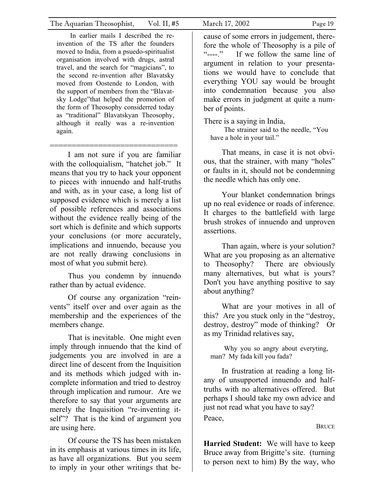In earlier mails I described the reinvention of the TS after the founders moved to India, from a psuedo-spiritualist organisation involved with drugs, astral travel, and the search for "magicians", to the second re-invention after Blavatsky moved from Oostende to London, with the support of members from the "Blavatsky Lodge"that helped the promotion of the form of Theosophy considerred today as "traditional" Blavatskyan Theosophy, although it really was a re-invention again.

============================= I am not sure if you are familiar with the colloquialism, "hatchet job." It means that you try to hack your opponent to pieces with innuendo and half-truths and with, as in your case, a long list of supposed evidence which is merely a list of possible references and associations without the evidence really being of the sort which is definite and which supports your conclusions (or more accurately, implications and innuendo, because you are not really drawing conclusions in most of what you submit here).

Thus you condemn by innuendo rather than by actual evidence.

Of course any organization "reinvents" itself over and over again as the membership and the experiences of the members change.

That is inevitable. One might even imply through innuendo that the kind of judgements you are involved in are a direct line of descent from the Inquisition and its methods which judged with incomplete information and tried to destroy through implication and rumour. Are we therefore to say that your arguments are merely the Inquisition "re-inventing itself"? That is the kind of argument you are using here.

Of course the TS has been mistaken in its emphasis at various times in its life, as have all organizations. But you seem to imply in your other writings that be-

cause of some errors in judgement, therefore the whole of Theosophy is a pile of "----." If we follow the same line of argument in relation to your presentations we would have to conclude that everything YOU say would be brought into condemnation because you also make errors in judgment at quite a number of points.

There is a saying in India,

The strainer said to the needle, "You have a hole in your tail."

That means, in case it is not obvious, that the strainer, with many "holes" or faults in it, should not be condemning the needle which has only one.

Your blanket condemnation brings up no real evidence or roads of inference. It charges to the battlefield with large brush strokes of innuendo and unproven assertions.

Than again, where is your solution? What are you proposing as an alternative to Theosophy? There are obviously many alternatives, but what is yours? Don't you have anything positive to say about anything?

What are your motives in all of this? Are you stuck only in the "destroy, destroy, destroy" mode of thinking? Or as my Trinidad relatives say,

Why you so angry about everyting, man? My fada kill you fada?

In frustration at reading a long litany of unsupported innuendo and halftruths with no alternatives offered. But perhaps I should take my own advice and just not read what you have to say?

Peace,

**BRUCE** 

**Harried Student:** We will have to keep Bruce away from Brigitte's site. (turning to person next to him) By the way, who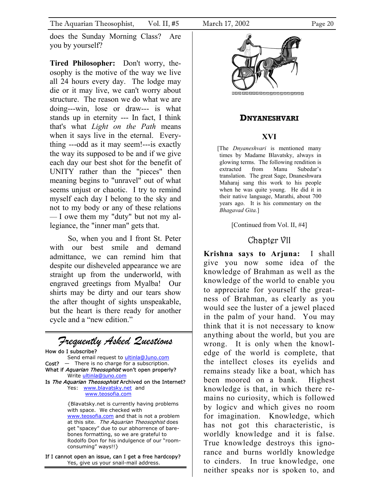does the Sunday Morning Class? Are you by yourself?

**Tired Philosopher:** Don't worry, theosophy is the motive of the way we live all 24 hours every day. The lodge may die or it may live, we can't worry about structure. The reason we do what we are doing---win, lose or draw--- is what stands up in eternity --- In fact, I think that's what *Light on the Path* means when it says live in the eternal. Everything ---odd as it may seem!---is exactly the way its supposed to be and if we give each day our best shot for the benefit of UNITY rather than the "pieces" then meaning begins to "unravel" out of what seems unjust or chaotic. I try to remind myself each day I belong to the sky and not to my body or any of these relations — I owe them my "duty" but not my allegiance, the "inner man" gets that.

So, when you and I front St. Peter with our best smile and demand admittance, we can remind him that despite our disheveled appearance we are straight up from the underworld, with engraved greetings from Myalba! Our shirts may be dirty and our tears show the after thought of sights unspeakable, but the heart is there ready for another cycle and a "new edition."

#### *Frequently Asked Questions*  How do I subscribe? Send email request to ultinla@Juno.com  $Cost?$  - There is no charge for a subscription. What if Aquarian Theosophist won't open properly? Write ultinla@juno.com Is The Aquarian Theosophist Archived on the Internet? Yes: www.blavatsky.net and www.teosofia.com {Blavatsky.net is currently having problems with space. We checked with www.teosofia.com and that is not a problem at this site. The Aquarian Theosophist does get "spacey" due to our abhorrence of barebones formatting, so we are grateful to

Rodolfo Don for his indulgence of our "roomconsuming" ways!!}

If I cannot open an issue, can I get a free hardcopy? Yes, give us your snail-mail address.



999999999999999999999

#### **DNYANESHVARI**

## **XVI**

[The *Dnyaneshvari* is mentioned many times by Madame Blavatsky, always in glowing terms. The following rendition is extracted from Manu Subedar's translation. The great Sage, Dnaneshwara Maharaj sang this work to his people when he was quite young. He did it in their native language, Marathi, about 700 years ago. It is his commentary on the *Bhagavad Gita.*]

[Continued from Vol. II, #4]

## Chapter VII

**Krishna says to Arjuna:** I shall give you now some idea of the knowledge of Brahman as well as the knowledge of the world to enable you to appreciate for yourself the greatness of Brahman, as clearly as you would see the luster of a jewel placed in the palm of your hand. You may think that it is not necessary to know anything about the world, but you are wrong. It is only when the knowledge of the world is complete, that the intellect closes its eyelids and remains steady like a boat, which has been moored on a bank. Highest knowledge is that, in which there remains no curiosity, which is followed by logicv and which gives no room for imagination. Knowledge, which has not got this characteristic, is worldly knowledge and it is false. True knowledge destroys this ignorance and burns worldly knowledge to cinders. In true knowledge, one neither speaks nor is spoken to, and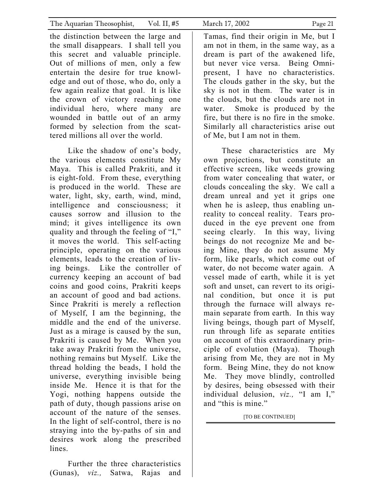the distinction between the large and the small disappears. I shall tell you this secret and valuable principle. Out of millions of men, only a few entertain the desire for true knowledge and out of those, who do, only a few again realize that goal. It is like the crown of victory reaching one individual hero, where many are wounded in battle out of an army formed by selection from the scattered millions all over the world.

 Like the shadow of one's body, the various elements constitute My Maya. This is called Prakriti, and it is eight-fold. From these, everything is produced in the world. These are water, light, sky, earth, wind, mind, intelligence and consciousness; it causes sorrow and illusion to the mind; it gives intelligence its own quality and through the feeling of "I," it moves the world. This self-acting principle, operating on the various elements, leads to the creation of living beings. Like the controller of currency keeping an account of bad coins and good coins, Prakriti keeps an account of good and bad actions. Since Prakriti is merely a reflection of Myself, I am the beginning, the middle and the end of the universe. Just as a mirage is caused by the sun, Prakriti is caused by Me. When you take away Prakriti from the universe, nothing remains but Myself. Like the thread holding the beads, I hold the universe, everything invisible being inside Me. Hence it is that for the Yogi, nothing happens outside the path of duty, though passions arise on account of the nature of the senses. In the light of self-control, there is no straying into the by-paths of sin and desires work along the prescribed lines.

 Further the three characteristics (Gunas), *viz.,* Satwa, Rajas and Tamas, find their origin in Me, but I am not in them, in the same way, as a dream is part of the awakened life, but never vice versa. Being Omnipresent, I have no characteristics. The clouds gather in the sky, but the sky is not in them. The water is in the clouds, but the clouds are not in water. Smoke is produced by the fire, but there is no fire in the smoke. Similarly all characteristics arise out of Me, but I am not in them.

 These characteristics are My own projections, but constitute an effective screen, like weeds growing from water concealing that water, or clouds concealing the sky. We call a dream unreal and yet it grips one when he is asleep, thus enabling unreality to conceal reality. Tears produced in the eye prevent one from seeing clearly. In this way, living beings do not recognize Me and being Mine, they do not assume My form, like pearls, which come out of water, do not become water again. A vessel made of earth, while it is yet soft and unset, can revert to its original condition, but once it is put through the furnace will always remain separate from earth. In this way living beings, though part of Myself, run through life as separate entities on account of this extraordinary principle of evolution (Maya). Though arising from Me, they are not in My form. Being Mine, they do not know Me. They move blindly, controlled by desires, being obsessed with their individual delusion, *viz.,* "I am I," and "this is mine."

[TO BE CONTINUED]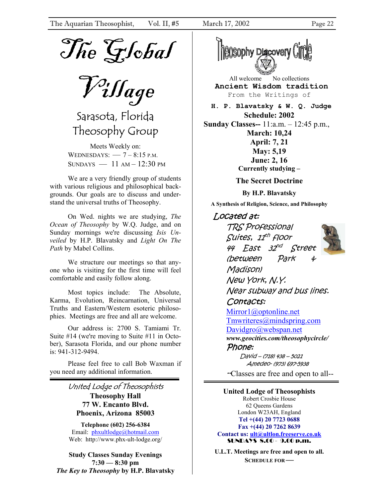

Village

Sarasota, Florida Theosophy Group

Meets Weekly on: WEDNESDAYS:  $-7 - 8:15$  P.M.  $SUNDAYS$   $-11 AM-12:30 PM$ 

We are a very friendly group of students with various religious and philosophical backgrounds. Our goals are to discuss and understand the universal truths of Theosophy.

On Wed. nights we are studying, *The Ocean of Theosophy* by W.Q. Judge, and on Sunday mornings we're discussing *Isis Unveiled* by H.P. Blavatsky and *Light On The Path* by Mabel Collins.

We structure our meetings so that anyone who is visiting for the first time will feel comfortable and easily follow along.

Most topics include: The Absolute, Karma, Evolution, Reincarnation, Universal Truths and Eastern/Western esoteric philosophies. Meetings are free and all are welcome.

Our address is: 2700 S. Tamiami Tr. Suite #14 (we're moving to Suite #11 in October), Sarasota Florida, and our phone number is: 941-312-9494.

Please feel free to call Bob Waxman if you need any additional information.

#### United Lodge of Theosophists **Theosophy Hall 77 W. Encanto Blvd. Phoenix, Arizona 85003**

**Telephone (602) 256-6384**  Email: phxultlodge@hotmail.com Web: http://www.phx-ult-lodge.org/

**Study Classes Sunday Evenings 7:30 — 8:30 pm**  *The Key to Theosophy* **by H.P. Blavatsky** 



All welcome No collections **Ancient Wisdom tradition**  From the Writings of

 **H. P. Blavatsky & W. Q. Judge Schedule: 2002 Sunday Classes--** 11:a.m. – 12:45 p.m., **March: 10,24 April: 7, 21 May: 5,19 June: 2, 16 Currently studying –** 

**The Secret Doctrine** 

**By H.P. Blavatsky** 

**A Synthesis of Religion, Science, and Philosophy** 

#### Located at:

TRS Professional Suites, 11<sup>th</sup> floor 44 East 32nd Street (between Park & Madison) New York, N.Y. Near subway and bus lines.

#### Contacts:

Mirror1@optonline.net Tmwriteres@mindspring.com Davidgro@webspan.net *www.geocities.com/theosophycircle/*  Phone:

> David – (718) 438 – 5021 Amedeo- (973) 697-5938

--Classes are free and open to all--

**United Lodge of Theosophists**  Robert Crosbie House 62 Queens Gardens London W23AH, England **Tel +(44) 20 7723 0688 Fax +(44) 20 7262 8639 Contact us: ult@ultlon.freeserve.co.uk** SUNDAYS 8.00 - 9.00 p.m.

**U.L.T. Meetings are free and open to all. SCHEDULE FOR—**

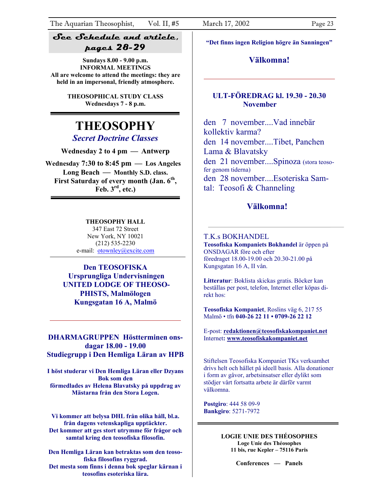#### **See Schedule and article, pages 28-29**

**Sundays 8.00 - 9.00 p.m. INFORMAL MEETINGS All are welcome to attend the meetings: they are held in an impersonal, friendly atmosphere.** 

> **THEOSOPHICAL STUDY CLASS Wednesdays 7 - 8 p.m.**

## **THEOSOPHY**

*Secret Doctrine Classes*

**Wednesday 2 to 4 pm — Antwerp** 

**Wednesday 7:30 to 8:45 pm — Los Angeles Long Beach — Monthly S.D. class.**  First Saturday of every month (Jan. 6<sup>th</sup>, **Feb. 3rd, etc.)**

#### **THEOSOPHY HALL**

347 East 72 Street New York, NY 10021 (212) 535-2230 e-mail: otownley@excite.com

**Den TEOSOFISKA Ursprungliga Undervisningen UNITED LODGE OF THEOSO-PHISTS, Malmölogen Kungsgatan 16 A, Malmö**

#### **DHARMAGRUPPEN Höstterminen onsdagar 18.00 - 19.00 Studiegrupp i Den Hemliga Läran av HPB**

**I höst studerar vi Den Hemliga Läran eller Dzyans Bok som den förmedlades av Helena Blavatsky på uppdrag av Mästarna från den Stora Logen.** 

**Vi kommer att belysa DHL från olika håll, bl.a. från dagens vetenskapliga upptäckter. Det kommer att ges stort utrymme för frågor och samtal kring den teosofiska filosofin.** 

**Den Hemliga Läran kan betraktas som den teosofiska filosofins ryggrad. Det mesta som finns i denna bok speglar kärnan i teosofins esoteriska lära.** 

**"Det finns ingen Religion högre än Sanningen"** 

#### **Välkomna!**

#### **ULT-FÖREDRAG kl. 19.30 - 20.30 November**

den 7 november....Vad innebär kollektiv karma? den 14 november....Tibet, Panchen Lama & Blavatsky den 21 november....Spinoza (stora teosofer genom tiderna) den 28 november....Esoteriska Samtal: Teosofi & Channeling

#### **Välkomna!**

#### T.K.s BOKHANDEL

**Teosofiska Kompaniets Bokhandel** är öppen på ONSDAGAR före och efter föredraget 18.00-19.00 och 20.30-21.00 på Kungsgatan 16 A, II vån.

**Litteratur**: Boklista skickas gratis. Böcker kan beställas per post, telefon, Internet eller köpas direkt hos:

**Teosofiska Kompaniet**, Roslins väg 6, 217 55 Malmö • tfn **040-26 22 11 • 0709-26 22 12**

E-post: **redaktionen@teosofiskakompaniet.net** Internet**: www.teosofiskakompaniet.net**

Stiftelsen Teosofiska Kompaniet TKs verksamhet drivs helt och hållet på ideell basis. Alla donationer i form av gåvor, arbetsinsatser eller dylikt som stödjer vårt fortsatta arbete är därför varmt välkomna.

**Postgiro**: 444 58 09-9 **Bankgiro**: 5271-7972

> **LOGIE UNIE DES THÉOSOPHES Loge Unie des Théosophes 11 bis, rue Kepler – 75116 Paris**

> > **Conferences — Panels**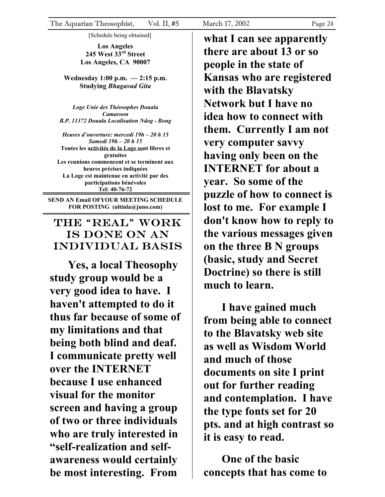[Schedule being obtained]

**Los Angeles 245 West 33rd Street Los Angeles, CA 90007** 

**Wednesday 1:00 p.m. — 2:15 p.m. Studying** *Bhagavad Gita* 

*Loge Unie des Théosophes Douala Camaroon B.P. 11372 Douala Localisation Ndog - Bong* 

*Heures d'ouverture: mercedi 19h – 20 h 15 Samedi 19h – 20 h 15*  **Toutes les activités de la Loge sont libres et gratuites Les reunions commencent et se terminent aux heures précises indiquées La Loge est maintenue en activité par des participations bénévoles Tel: 40-76-72** 

**SEND AN Email OFYOUR MEETING SCHEDULE FOR POSTING (ultinla@juno.com)** 

## The "real" work is done on an individual basis

**Yes, a local Theosophy study group would be a very good idea to have. I haven't attempted to do it thus far because of some of my limitations and that being both blind and deaf. I communicate pretty well over the INTERNET because I use enhanced visual for the monitor screen and having a group of two or three individuals who are truly interested in "self-realization and selfawareness would certainly be most interesting. From** 

**what I can see apparently there are about 13 or so people in the state of Kansas who are registered with the Blavatsky Network but I have no idea how to connect with them. Currently I am not very computer savvy having only been on the INTERNET for about a year. So some of the puzzle of how to connect is lost to me. For example I don't know how to reply to the various messages given on the three B N groups (basic, study and Secret Doctrine) so there is still much to learn.**

**I have gained much from being able to connect to the Blavatsky web site as well as Wisdom World and much of those documents on site I print out for further reading and contemplation. I have the type fonts set for 20 pts. and at high contrast so it is easy to read.**

**One of the basic concepts that has come to**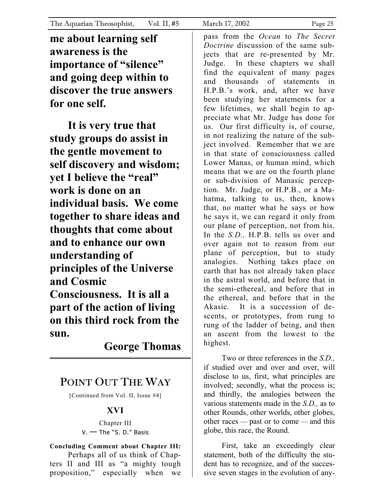**me about learning self awareness is the importance of "silence" and going deep within to discover the true answers for one self.**

**It is very true that study groups do assist in the gentle movement to self discovery and wisdom; yet I believe the "real" work is done on an individual basis. We come together to share ideas and thoughts that come about and to enhance our own understanding of principles of the Universe and Cosmic Consciousness. It is all a part of the action of living on this third rock from the sun.**

**George Thomas** 

## POINT OUT THE WAY

[Continued from Vol. II, Issue #4]

## **XVI**

Chapter III V. — The "S. D." Basis

**Concluding Comment about Chapter III:** Perhaps all of us think of Chapters II and III as "a mighty tough

proposition," especially when we

pass from the *Ocean* to *The Secret Doctrine* discussion of the same subjects that are re-presented by Mr. Judge. In these chapters we shall find the equivalent of many pages and thousands of statements in H.P.B.'s work, and, after we have been studying her statements for a few lifetimes, we shall begin to appreciate what Mr. Judge has done for us. Our first difficulty is, of course, in not realizing the nature of the subject involved. Remember that we are in that state of consciousness called Lower Manas, or human mind, which means that we are on the fourth plane or sub-division of Manasic perception. Mr. Judge, or H.P.B., or a Mahatma, talking to us, then, knows that, no matter what he says or how he says it, we can regard it only from our plane of perception, not from his. In the *S.D.,* H.P.B. tells us over and over again not to reason from our plane of perception, but to study analogies. Nothing takes place on earth that has not already taken place in the astral world, and before that in the semi-ethereal, and before that in the ethereal, and before that in the Akasic. It is a succession of descents, or prototypes, from rung to rung of the ladder of being, and then an ascent from the lowest to the highest.

Two or three references in the *S.D.,*  if studied over and over and over, will disclose to us, first, what principles are involved; secondly, what the process is; and thirdly, the analogies between the various statements made in the *S.D.,* as to other Rounds, other worlds, other globes, other races — past or to come — and this globe, this race, the Round.

First, take an exceedingly clear statement, both of the difficulty the student has to recognize, and of the successive seven stages in the evolution of any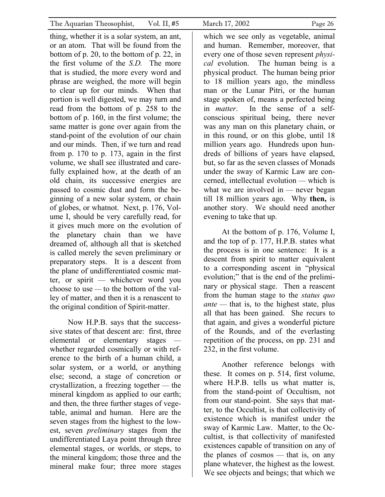thing, whether it is a solar system, an ant, or an atom. That will be found from the bottom of p. 20, to the bottom of p. 22, in the first volume of the *S.D.* The more that is studied, the more every word and phrase are weighed, the more will begin to clear up for our minds. When that portion is well digested, we may turn and read from the bottom of p. 258 to the bottom of p. 160, in the first volume; the same matter is gone over again from the stand-point of the evolution of our chain and our minds. Then, if we turn and read from p. 170 to p. 173, again in the first volume, we shall see illustrated and carefully explained how, at the death of an old chain, its successive energies are passed to cosmic dust and form the beginning of a new solar system, or chain of globes, or whatnot. Next, p. 176, Volume I, should be very carefully read, for it gives much more on the evolution of the planetary chain than we have dreamed of, although all that is sketched is called merely the seven preliminary or preparatory steps. It is a descent from the plane of undifferentiated cosmic matter, or spirit — whichever word you choose to use — to the bottom of the valley of matter, and then it is a renascent to the original condition of Spirit-matter.

Now H.P.B. says that the successsive states of that descent are: first, three elemental or elementary stages whether regarded cosmically or with reference to the birth of a human child, a solar system, or a world, or anything else; second, a stage of concretion or crystallization, a freezing together — the mineral kingdom as applied to our earth; and then, the three further stages of vegetable, animal and human. Here are the seven stages from the highest to the lowest, seven *preliminary* stages from the undifferentiated Laya point through three elemental stages, or worlds, or steps, to the mineral kingdom; those three and the mineral make four; three more stages

which we see only as vegetable, animal and human. Remember, moreover, that every one of those seven represent *physical* evolution. The human being is a physical product. The human being prior to 18 million years ago, the mindless man or the Lunar Pitri, or the human stage spoken of, means a perfected being in *matter*. In the sense of a selfconscious spiritual being, there never was any man on this planetary chain, or in this round, or on this globe, until 18 million years ago. Hundreds upon hundreds of billions of years have elapsed, but, so far as the seven classes of Monads under the sway of Karmic Law are concerned, intellectual evolution — which is what we are involved in — never began till 18 million years ago. Why **then,** is another story. We should need another evening to take that up.

At the bottom of p. 176, Volume I, and the top of p. 177, H.P.B. states what the process is in one sentence: It is a descent from spirit to matter equivalent to a corresponding ascent in "physical evolution;" that is the end of the preliminary or physical stage. Then a reascent from the human stage to the *status quo ante* — that is, to the highest state, plus all that has been gained. She recurs to that again, and gives a wonderful picture of the Rounds, and of the everlasting repetition of the process, on pp. 231 and 232, in the first volume.

Another reference belongs with these. It comes on p. 514, first volume, where H.P.B. tells us what matter is, from the stand-point of Occultism, not from our stand-point. She says that matter, to the Occultist, is that collectivity of existence which is manifest under the sway of Karmic Law. Matter, to the Occultist, is that collectivity of manifested existences capable of transition on any of the planes of cosmos — that is, on any plane whatever, the highest as the lowest. We see objects and beings; that which we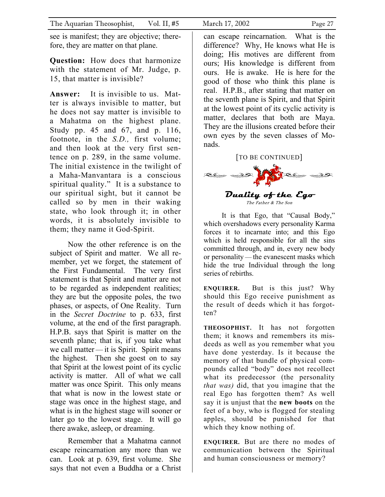see is manifest; they are objective; therefore, they are matter on that plane.

**Question:** How does that harmonize with the statement of Mr. Judge, p. 15, that matter is invisible?

**Answer:** It is invisible to us. Matter is always invisible to matter, but he does not say matter is invisible to a Mahatma on the highest plane. Study pp. 45 and 67, and p. 116, footnote, in the *S.D.,* first volume; and then look at the very first sentence on p. 289, in the same volume. The initial existence in the twilight of a Maha-Manvantara is a conscious spiritual quality." It is a substance to our spiritual sight, but it cannot be called so by men in their waking state, who look through it; in other words, it is absolutely invisible to them; they name it God-Spirit.

Now the other reference is on the subject of Spirit and matter. We all remember, yet we forget, the statement of the First Fundamental. The very first statement is that Spirit and matter are not to be regarded as independent realities; they are but the opposite poles, the two phases, or aspects, of One Reality. Turn in the *Secret Doctrine* to p. 633, first volume, at the end of the first paragraph. H.P.B. says that Spirit is matter on the seventh plane; that is, if you take what we call matter — it is Spirit. Spirit means the highest. Then she goest on to say that Spirit at the lowest point of its cyclic activity is matter. All of what we call matter was once Spirit. This only means that what is now in the lowest state or stage was once in the highest stage, and what is in the highest stage will sooner or later go to the lowest stage. It will go there awake, asleep, or dreaming.

Remember that a Mahatma cannot escape reincarnation any more than we can. Look at p. 639, first volume. She says that not even a Buddha or a Christ

can escape reincarnation. What is the difference? Why, He knows what He is doing; His motives are different from ours; His knowledge is different from ours. He is awake. He is here for the good of those who think this plane is real. H.P.B., after stating that matter on the seventh plane is Spirit, and that Spirit at the lowest point of its cyclic activity is matter, declares that both are Maya. They are the illusions created before their own eyes by the seven classes of Monads.

#### [TO BE CONTINUED]



It is that Ego, that "Causal Body," which overshadows every personality Karma forces it to incarnate into; and this Ego which is held responsible for all the sins committed through, and in, every new body or personality — the evanescent masks which hide the true Individual through the long series of rebirths.

**ENQUIRER.** But is this just? Why should this Ego receive punishment as the result of deeds which it has forgotten?

**THEOSOPHIST.** It has not forgotten them; it knows and remembers its misdeeds as well as you remember what you have done yesterday. Is it because the memory of that bundle of physical compounds called "body" does not recollect what its predecessor (the personality *that was)* did, that you imagine that the real Ego has forgotten them? As well say it is unjust that the **new boots** on the feet of a boy, who is flogged for stealing apples, should be punished for that which they know nothing of.

**ENQUIRER.** But are there no modes of communication between the Spiritual and human consciousness or memory?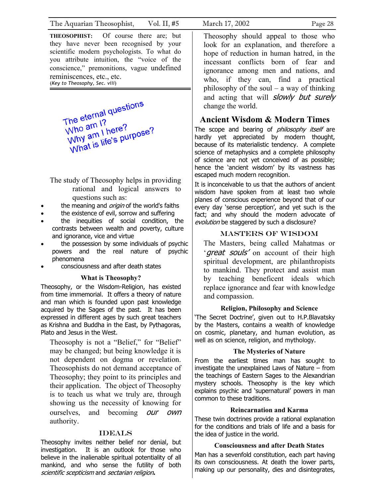**THEOSOPHIST:** Of course there are; but they have never been recognised by your scientific modern psychologists. To what do you attribute intuition, the "voice of the conscience," premonitions, vague undefined reminiscences, etc., etc. (*Key to Theosophy, Sec. viii*)

The eternal questions The eternal<br>Who am 1?<br>why am 1 h The etern 1?<br>Who am 1 here?<br>Why am 1 here?<br>What is life's purf Who am I here?<br>Why am I here?<br>What is life's purpose?

The study of Theosophy helps in providing rational and logical answers to questions such as:

- the meaning and *origin* of the world's faiths
- the existence of evil, sorrow and suffering
- the inequities of social condition, the contrasts between wealth and poverty, culture and ignorance, vice and virtue
- the possession by some individuals of psychic powers and the real nature of psychic phenomena
- consciousness and after death states

#### **What is Theosophy?**

Theosophy, or the Wisdom-Religion, has existed from time immemorial. It offers a theory of nature and man which is founded upon past knowledge acquired by the Sages of the past. It has been expressed in different ages by such great teachers as Krishna and Buddha in the East, by Pythagoras, Plato and Jesus in the West.

Theosophy is not a "Belief," for "Belief" may be changed; but being knowledge it is not dependent on dogma or revelation. Theosophists do not demand acceptance of Theosophy; they point to its principles and their application. The object of Theosophy is to teach us what we truly are, through showing us the necessity of knowing for ourselves, and becoming *our own* authority.

#### **IDEALS**

Theosophy invites neither belief nor denial, but investigation. It is an outlook for those who believe in the inalienable spiritual potentiality of all mankind, and who sense the futility of both scientific scepticism and sectarian religion**.**

Theosophy should appeal to those who look for an explanation, and therefore a hope of reduction in human hatred, in the incessant conflicts born of fear and ignorance among men and nations, and who, if they can, find a practical philosophy of the soul – a way of thinking and acting that will *slowly but surely* change the world.

#### **Ancient Wisdom & Modern Times**

The scope and bearing of *philosophy itself* are hardly yet appreciated by modern thought, because of its materialistic tendency. A complete science of metaphysics and a complete philosophy of science are not yet conceived of as possible; hence the 'ancient wisdom' by its vastness has escaped much modern recognition.

It is inconceivable to us that the authors of ancient wisdom have spoken from at least two whole planes of conscious experience beyond that of our every day 'sense perception', and yet such is the fact; and why should the modern advocate of evolution be staggered by such a disclosure?

#### Masters of Wisdom

The Masters, being called Mahatmas or '*great souls'* on account of their high spiritual development, are philanthropists to mankind. They protect and assist man by teaching beneficent ideals which replace ignorance and fear with knowledge and compassion.

#### **Religion, Philosophy and Science**

'The Secret Doctrine', given out to H.P.Blavatsky by the Masters, contains a wealth of knowledge on cosmic, planetary, and human evolution, as well as on science, religion, and mythology.

#### **The Mysteries of Nature**

From the earliest times man has sought to investigate the unexplained Laws of Nature – from the teachings of Eastern Sages to the Alexandrian mystery schools. Theosophy is the key which explains psychic and 'supernatural' powers in man common to these traditions.

#### **Reincarnation and Karma**

These twin doctrines provide a rational explanation for the conditions and trials of life and a basis for the idea of justice in the world.

#### **Consciousness and after Death States**

Man has a sevenfold constitution, each part having its own consciousness. At death the lower parts, making up our personality, dies and disintegrates,